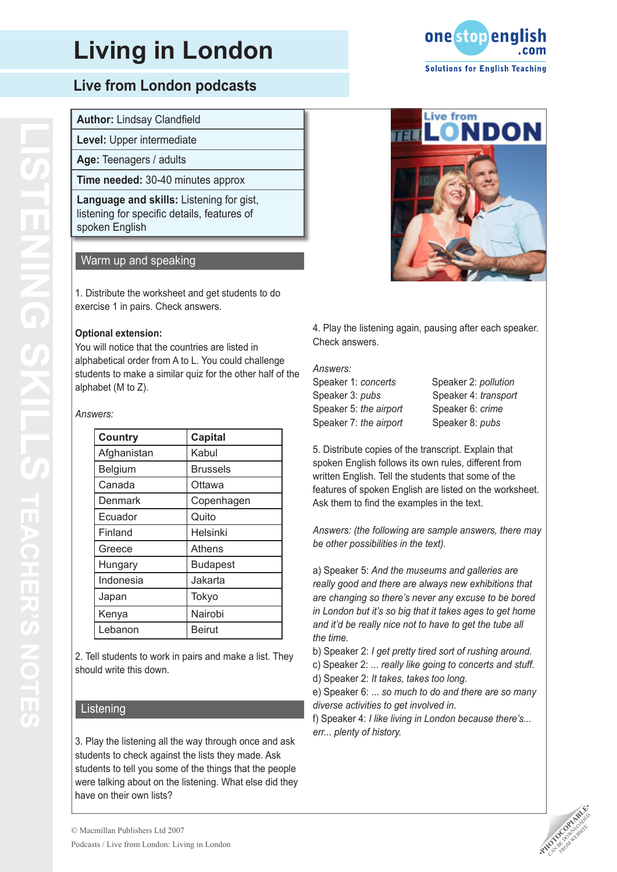### **Live from London podcasts**

#### **Author:** Lindsay Clandfield

**Level:** Upper intermediate

**Age:** Teenagers / adults

**Time needed:** 30-40 minutes approx

**Language and skills:** Listening for gist, listening for specific details, features of spoken English

#### Warm up and speaking

1. Distribute the worksheet and get students to do exercise 1 in pairs. Check answers.

#### **Optional extension:**

You will notice that the countries are listed in alphabetical order from A to L. You could challenge students to make a similar quiz for the other half of the alphabet (M to Z).

#### *Answers:*

| <b>Country</b> | <b>Capital</b>  |
|----------------|-----------------|
| Afghanistan    | Kabul           |
| Belgium        | <b>Brussels</b> |
| Canada         | Ottawa          |
| Denmark        | Copenhagen      |
| Ecuador        | Quito           |
| Finland        | Helsinki        |
| Greece         | <b>Athens</b>   |
| Hungary        | <b>Budapest</b> |
| Indonesia      | Jakarta         |
| Japan          | Tokyo           |
| Kenya          | Nairobi         |
| Lebanon        | <b>Beirut</b>   |

2. Tell students to work in pairs and make a list. They should write this down.

#### Listening

3. Play the listening all the way through once and ask students to check against the lists they made. Ask students to tell you some of the things that the people were talking about on the listening. What else did they have on their own lists?





4. Play the listening again, pausing after each speaker. Check answers.

#### *Answers:*

Speaker 1: *concerts* Speaker 2: *pollution* Speaker 3: *pubs* Speaker 4: *transport* Speaker 5: *the airport* Speaker 6: *crime* Speaker 7: *the airport* Speaker 8: *pubs* 

5. Distribute copies of the transcript. Explain that spoken English follows its own rules, different from written English. Tell the students that some of the features of spoken English are listed on the worksheet. Ask them to find the examples in the text.

*Answers: (the following are sample answers, there may be other possibilities in the text).*

a) Speaker 5: *And the museums and galleries are really good and there are always new exhibitions that are changing so there's never any excuse to be bored in London but it's so big that it takes ages to get home and it'd be really nice not to have to get the tube all the time.*

b) Speaker 2: *I get pretty tired sort of rushing around.*

c) Speaker 2: ... *really like going to concerts and stuff.* d) Speaker 2: *It takes, takes too long.*

e) Speaker 6: ... *so much to do and there are so many diverse activities to get involved in.*

f) Speaker 4: *I like living in London because there's... err... plenty of history.*

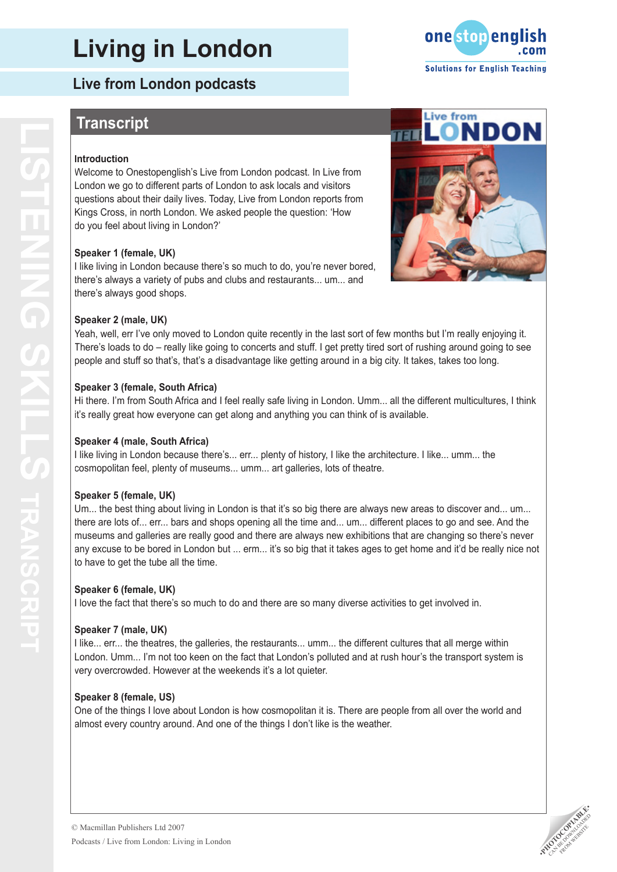**Live from London podcasts**

## **Transcript**

#### **Introduction**

Welcome to Onestopenglish's Live from London podcast. In Live from London we go to different parts of London to ask locals and visitors questions about their daily lives. Today, Live from London reports from Kings Cross, in north London. We asked people the question: 'How do you feel about living in London?'

#### **Speaker 1 (female, UK)**

I like living in London because there's so much to do, you're never bored, there's always a variety of pubs and clubs and restaurants... um... and there's always good shops.

#### **Speaker 2 (male, UK)**

Yeah, well, err I've only moved to London quite recently in the last sort of few months but I'm really enjoying it. There's loads to do – really like going to concerts and stuff. I get pretty tired sort of rushing around going to see people and stuff so that's, that's a disadvantage like getting around in a big city. It takes, takes too long.

#### **Speaker 3 (female, South Africa)**

Hi there. I'm from South Africa and I feel really safe living in London. Umm... all the different multicultures, I think it's really great how everyone can get along and anything you can think of is available.

#### **Speaker 4 (male, South Africa)**

I like living in London because there's... err... plenty of history, I like the architecture. I like... umm... the cosmopolitan feel, plenty of museums... umm... art galleries, lots of theatre.

#### **Speaker 5 (female, UK)**

Um... the best thing about living in London is that it's so big there are always new areas to discover and... um... there are lots of... err... bars and shops opening all the time and... um... different places to go and see. And the museums and galleries are really good and there are always new exhibitions that are changing so there's never any excuse to be bored in London but ... erm... it's so big that it takes ages to get home and it'd be really nice not to have to get the tube all the time.

#### **Speaker 6 (female, UK)**

I love the fact that there's so much to do and there are so many diverse activities to get involved in.

#### **Speaker 7 (male, UK )**

I like... err... the theatres, the galleries, the restaurants... umm... the different cultures that all merge within London. Umm... I'm not too keen on the fact that London's polluted and at rush hour's the transport system is very overcrowded. However at the weekends it's a lot quieter.

#### **Speaker 8 (female, US )**

One of the things I love about London is how cosmopolitan it is. There are people from all over the world and almost every country around. And one of the things I don't like is the weather.





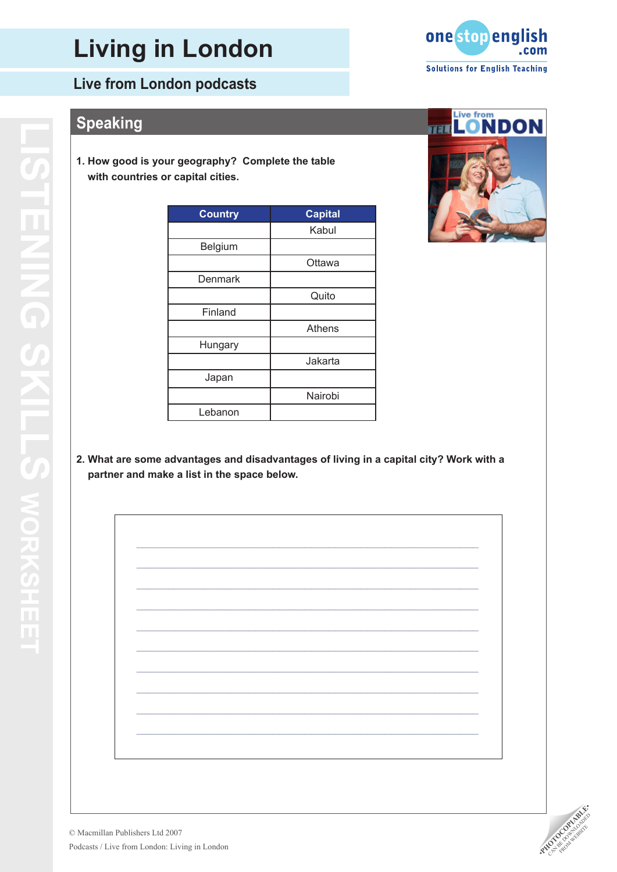### **Live from London podcasts**

## **Speaking**

**1. How good is your geography? Complete the table with countries or capital cities.**

| <b>Country</b> | <b>Capital</b> |
|----------------|----------------|
|                | Kabul          |
| Belgium        |                |
|                | Ottawa         |
| Denmark        |                |
|                | Quito          |
| Finland        |                |
|                | <b>Athens</b>  |
| Hungary        |                |
|                | Jakarta        |
| Japan          |                |
|                | Nairobi        |
| Lebanon        |                |



**2. What are some advantages and disadvantages of living in a capital city? Work with a partner and make a list in the space below.**